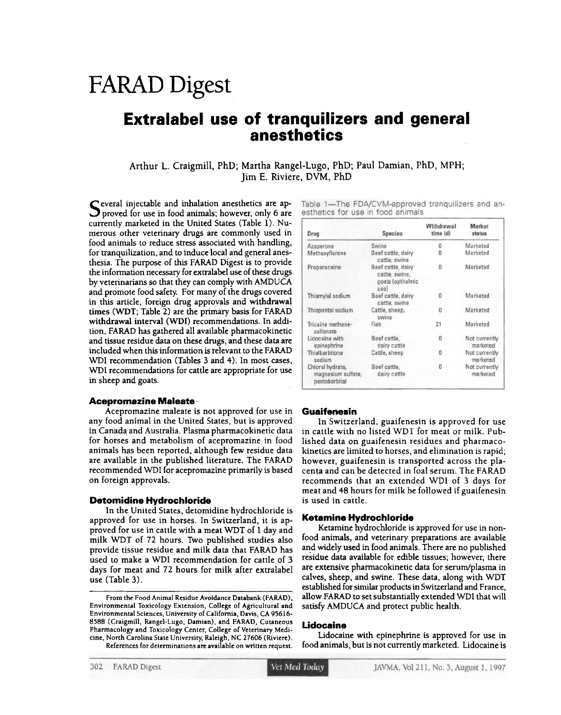# FARAD Digest

# Extralabel use of tranquilizers and general anesthetics

Arthur L. Craigmill, PhD; Martha Rangel-Lugo, PhD; Paul Damian, PhD, MPH; Jim E. Riviere. DVM. PhD

 $\Gamma$  everal injectable and inhalation anesthetics are approved for use in food animals; however, only 6 are currently marketed in the United States (Table 1). Numerous other veterinary drugs are commonly used in food animals to reduce stress associated with handling, for tranquilization, and to induce local and general anesthesia. The purpose of this FARAD Digest is to provide the information necessary for extralabel use of these drugs by veterinarians so that they can comply with AMDUCA and promote food safety. For many of the drugs covered in this article, foreign drug approvals and withdrawal times (WDT; Table 2) are the primary basis for FARAD withdrawal interval (WDI) recommendations. In addition, FARAD has gathered all available pharmacokinetic and tissue residue data on these drugs, and these data are included when this information is relevant to the FARAD WDI recommendation (Tables 3 and 4). In most cases, WDI recommendations for cattle are appropriate for use in sheep and goats.

#### Aceprornazine Maleate.

Acepromazine maleate is not approved for use in any food animal in the United States, but is approved in Canada and Australia. Plasma pharmacokinetic data for horses and metabolism of acepromazine in food animals has been reported. although few residue data are available in the published literature. The FARAD recommended WDI for acepromazine primarily is based on foreign approvals.

#### Detomidine Hydrochloride

In the United States. detomidine hydrochloride is approved for use in horses. In Switzerland. it is approved for use in cattle with a meat WDT of 1 day and milk WDT of 72 hours. Two published studies also provide tissue residue and milk data that FARAD has used to make a WDI recommendation for cattle of 3 days for meat and 72 hours for milk after extralabel use (Table 3).

Table 1-The FDA/CVM-approved tranquilizers and anesthetics for use in food animals

| Drug                                                    | <b>Species</b>                                                   | Withdrawal<br>time (d) | Market<br>status          |
|---------------------------------------------------------|------------------------------------------------------------------|------------------------|---------------------------|
| Azaperone                                               | Swine                                                            | O                      | Marketed                  |
| Methoxyflurane                                          | Beef cattle, dairy<br>cattle, swine                              | n                      | Marketed                  |
| Proparacaine                                            | Beef cattle, dairy<br>cattle, swine,<br>goats (opthalmic<br>use) | $\Omega$               | Marketed                  |
| Thiamylal sodium                                        | Beef cattle, dairy<br>cattle, swine                              | 0                      | Marketed                  |
| Thiopental sodium                                       | Cattle, sheep,<br>swine                                          | 0                      | Marketed                  |
| Tricaine methane-<br>sulfonate                          | Fish                                                             | 21                     | Marketed                  |
| Lidocaine with<br>epinephrine                           | Beef cattle,<br>dairy cattle                                     | $\theta$               | Not currently<br>marketed |
| Thialbarbitone<br>sodium                                | Cattle, sheep                                                    | 0                      | Not currently<br>marketed |
| Chloral hydrate,<br>magnesium sulfate,<br>pentobarbital | Beef cattle,<br>dairy cattle                                     | 0                      | Not currently<br>marketed |

#### **Guaifenesin**

In Switzerland, guaifenesin is approved for use in cattle with no listed WDT for meat or milk. Published data on guaifenesin residues and pharmacokinetics are limited to borses, and elimination is rapid; however, guaifenesin is transported across the placenta and can be detected in foal serum. The FARAD recommends that an extended WDI of 3 days for meat and 48 hours for milk be followed if guaifenesin is used in cattle.

#### Ketamlne Hydrochloride

Ketamine hydrochloride is approved for use in nonfood animals, and veterinary preparations are available and widely used in food animals. There are no published residue data available for edible tissues; however, there are extensive pharmacokinetic data for serum/plasma in calves, sheep, and sWine. These data, along with WDT established for similar products in Switzerland and France, allow FARAD to set substantially extended WDI that will satisfy AMDUCA and protect public health.

#### Lidocaine

lidocaine with epinephrine is approved for use in food animals, but is not currently marketed. Udocaine is

From the Food Animal Residue Avoidance Databank (FARAD), Environmental Toxicology Extension, College of Agricultural and Environmental Sciences, University of California. Davis, CA 95616- 8588 (Craigmill, Rangel-Lugo, Damian), and FARAD, Cutaneous Pharmacology and Toxicology Center, College of Veterinary Medicine, North Carolina State University, Raleigh, NC 27606 (Riviere). References for determinations are available on written request.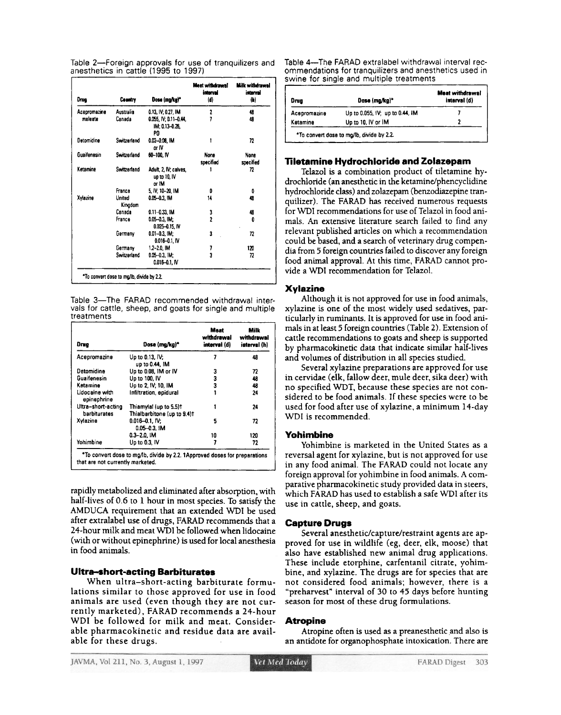|  |  |                                      |  | Table 2—Foreign approvals for use of tranquilizers and |  |
|--|--|--------------------------------------|--|--------------------------------------------------------|--|
|  |  | anesthetics in cattle (1995 to 1997) |  |                                                        |  |

| Dron         | Country           | Dose (mg/kg)*                                  | Mest withdrawal<br>istarval<br>ΙdΙ | <b>Milk withdrawal</b><br>istoryal<br>(h) |
|--------------|-------------------|------------------------------------------------|------------------------------------|-------------------------------------------|
| Acepromazine | <b>Australia</b>  | 0.13, IV: 0.27, IM                             | 2                                  | 48                                        |
| malente      | Canada            | 0.055, IV, 0.11-0.44.<br>IM: 0.13-0.26.<br>PO  | 7                                  | 48                                        |
| Detomidine   | Switzerland       | 0.02-0.08. IM<br>or IV                         | 1                                  | 72                                        |
| Guaifenesin  | Switzerland       | 60-100.IV                                      | None<br>specified                  | None<br>specified                         |
| Ketamine     | Switzerland       | Adult, 2, IV; calves,<br>up to 10, IV<br>or IM |                                    | 72                                        |
|              | France            | 5. IV: 10-20, IM                               | 0                                  | 0                                         |
| Xylazine     | United<br>Kinodom | 0.05-0.3, IM                                   | 14                                 | 48                                        |
|              | Canada            | $0.11 - 0.33$ . IM                             | 3                                  | 48                                        |
|              | France            | $0.05 - 0.3$ , IM;<br>$0.025 - 0.15$ . IV      | $\overline{a}$                     | 0                                         |
|              | Germany           | $0.01 - 0.3$ , IM:<br>$0.016 - 0.1$ . IV       | 3                                  | 72                                        |
|              | Germany           | $1.2 - 2.0$ . IM                               |                                    | 120                                       |
|              | Switzerland       | $0.05 - 0.3$ , IM;<br>0.016-0.1, IV            | 3                                  | 72                                        |

Table 3-The FARAD recommended withdrawal intervals for cattle, sheep, and goats for single and multiple treatments

| Drug                               | Dose (mg/kg)*                                         | Meat<br>withdrawal<br>interval (d) | Milk<br>withdrawal<br>interval (h) |
|------------------------------------|-------------------------------------------------------|------------------------------------|------------------------------------|
| Acepromazine                       | Up to 0.13, IV,<br>up to 0.44, IM                     |                                    | 48                                 |
| Detomidine                         | Up to 0.08. IM or IV                                  | 3                                  | 72                                 |
| Guaifenesin                        | Up to 100, IV                                         | з                                  | 48                                 |
| Ketamine                           | Up to 2, IV: 10, IM                                   | 3                                  | 48                                 |
| Lidocaine with<br>epinephrine      | Infiltration, epidural                                |                                    | 24                                 |
| Ultra-short-acting<br>barbiturates | Thiamylal (up to 5.5)†<br>Thialbarbitone (up to 9.4)t |                                    | 24                                 |
| Xvlazine                           | $0.016 - 0.1$ , IV;<br>$0.05 - 0.3$ . IM              | 5                                  | 72                                 |
|                                    | $0.3 - 2.0.1M$                                        | 10                                 | 120                                |
| Yohimbine                          | Up to 0.3, IV                                         | 7                                  | 72                                 |

rapidly metabolized and eliminated after absorption, with half-lives of 0.6 to 1 hour in most species. To satisfy the AMDUCA requirement that an extended WDI be used after extralabel use of drugs, FARAD recommends that a 24-hour milk and meat WDI be followed when lidocaine (with or without epinephrine) is used for local anesthesia in food animals.

# **Ultra-short-acting Barbiturates**

When ultra-short-acting barbiturate formulations similar to those approved for use in food animals are used (even though they are not currently marketed), FARAD recommends a 24-hour WDI be followed for milk and meat. Considerable pharmacokinetic and residue data are available for these drugs.

Table 4—The FARAD extralabel withdrawal interval recommendations for tranquilizers and anesthetics used in swine for single and multiple treatments

| Druu         | Dose (mg/kg)*                   | Meat withdrawal<br>interval (d) |
|--------------|---------------------------------|---------------------------------|
| Acepromazine | Up to 0.055, IV; up to 0.44, IM |                                 |
| Ketamine     | Up to 10, IV or IM              |                                 |

# **Tiletamine Hydrochloride and Zolazepam**

Telazol is a combination product of tiletamine hydrochloride (an anesthetic in the ketamine/phencyclidine hydrochloride class) and zolazepam (benzodiazepine tranquilizer). The FARAD has received numerous requests for WDI recommendations for use of Telazol in food animals. An extensive literature search failed to find any relevant published articles on which a recommendation could be based, and a search of veterinary drug compendia from 5 foreign countries failed to discover any foreign food animal approval. At this time, FARAD cannot provide a WDI recommendation for Telazol.

# **Xylazine**

Although it is not approved for use in food animals, xylazine is one of the most widely used sedatives, particularly in ruminants. It is approved for use in food animals in at least 5 foreign countries (Table 2). Extension of cattle recommendations to goats and sheep is supported by pharmacokinetic data that indicate similar half-lives and volumes of distribution in all species studied.

Several xylazine preparations are approved for use in cervidae (elk, fallow deer, mule deer, sika deer) with no specified WDT, because these species are not considered to be food animals. If these species were to be used for food after use of xylazine, a minimum 14-day WDI is recommended.

# **Yohimbine**

Yohimbine is marketed in the United States as a reversal agent for xylazine, but is not approved for use in any food animal. The FARAD could not locate any foreign approval for yohimbine in food animals. A comparative pharmacokinetic study provided data in steers, which FARAD has used to establish a safe WDI after its use in cattle, sheep, and goats.

# **Capture Drugs**

Several anesthetic/capture/restraint agents are approved for use in wildlife (eg, deer, elk, moose) that also have established new animal drug applications. These include etorphine, carfentanil citrate, yohimbine, and xylazine. The drugs are for species that are not considered food animals; however, there is a "preharvest" interval of 30 to 45 days before hunting season for most of these drug formulations.

# **Atropine**

Atropine often is used as a preanesthetic and also is an antidote for organophosphate intoxication. There are